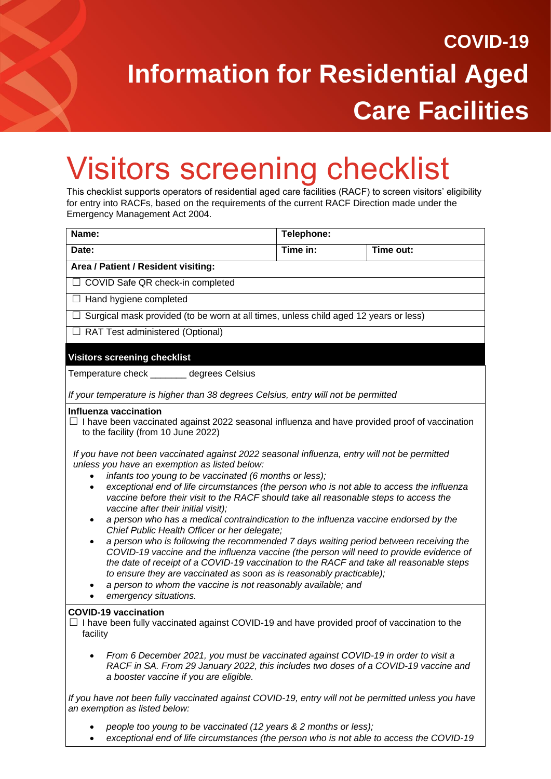## **COVID-19 Information for Residential Aged Care Facilities**

## Visitors screening checklist

This checklist supports operators of residential aged care facilities (RACF) to screen visitors' eligibility for entry into RACFs, based on the requirements of the current RACF Direction made under the Emergency Management Act 2004.

| Name:                                                                                                                                                                                                                                                                                                                                                                                                                                                                                                                                                                                                                                                                                                                                                                                                                                                                                                                                                                                                                                                                                                                                                                                                                           | Telephone: |           |
|---------------------------------------------------------------------------------------------------------------------------------------------------------------------------------------------------------------------------------------------------------------------------------------------------------------------------------------------------------------------------------------------------------------------------------------------------------------------------------------------------------------------------------------------------------------------------------------------------------------------------------------------------------------------------------------------------------------------------------------------------------------------------------------------------------------------------------------------------------------------------------------------------------------------------------------------------------------------------------------------------------------------------------------------------------------------------------------------------------------------------------------------------------------------------------------------------------------------------------|------------|-----------|
| Date:                                                                                                                                                                                                                                                                                                                                                                                                                                                                                                                                                                                                                                                                                                                                                                                                                                                                                                                                                                                                                                                                                                                                                                                                                           | Time in:   | Time out: |
| Area / Patient / Resident visiting:                                                                                                                                                                                                                                                                                                                                                                                                                                                                                                                                                                                                                                                                                                                                                                                                                                                                                                                                                                                                                                                                                                                                                                                             |            |           |
| □ COVID Safe QR check-in completed                                                                                                                                                                                                                                                                                                                                                                                                                                                                                                                                                                                                                                                                                                                                                                                                                                                                                                                                                                                                                                                                                                                                                                                              |            |           |
| $\Box$ Hand hygiene completed                                                                                                                                                                                                                                                                                                                                                                                                                                                                                                                                                                                                                                                                                                                                                                                                                                                                                                                                                                                                                                                                                                                                                                                                   |            |           |
| $\Box$ Surgical mask provided (to be worn at all times, unless child aged 12 years or less)                                                                                                                                                                                                                                                                                                                                                                                                                                                                                                                                                                                                                                                                                                                                                                                                                                                                                                                                                                                                                                                                                                                                     |            |           |
| □ RAT Test administered (Optional)                                                                                                                                                                                                                                                                                                                                                                                                                                                                                                                                                                                                                                                                                                                                                                                                                                                                                                                                                                                                                                                                                                                                                                                              |            |           |
| <b>Visitors screening checklist</b>                                                                                                                                                                                                                                                                                                                                                                                                                                                                                                                                                                                                                                                                                                                                                                                                                                                                                                                                                                                                                                                                                                                                                                                             |            |           |
| Temperature check ______ degrees Celsius                                                                                                                                                                                                                                                                                                                                                                                                                                                                                                                                                                                                                                                                                                                                                                                                                                                                                                                                                                                                                                                                                                                                                                                        |            |           |
| If your temperature is higher than 38 degrees Celsius, entry will not be permitted                                                                                                                                                                                                                                                                                                                                                                                                                                                                                                                                                                                                                                                                                                                                                                                                                                                                                                                                                                                                                                                                                                                                              |            |           |
| Influenza vaccination<br>$\Box$ I have been vaccinated against 2022 seasonal influenza and have provided proof of vaccination<br>to the facility (from 10 June 2022)<br>If you have not been vaccinated against 2022 seasonal influenza, entry will not be permitted<br>unless you have an exemption as listed below:<br>infants too young to be vaccinated (6 months or less);<br>exceptional end of life circumstances (the person who is not able to access the influenza<br>$\bullet$<br>vaccine before their visit to the RACF should take all reasonable steps to access the<br>vaccine after their initial visit);<br>a person who has a medical contraindication to the influenza vaccine endorsed by the<br>Chief Public Health Officer or her delegate;<br>a person who is following the recommended 7 days waiting period between receiving the<br>$\bullet$<br>COVID-19 vaccine and the influenza vaccine (the person will need to provide evidence of<br>the date of receipt of a COVID-19 vaccination to the RACF and take all reasonable steps<br>to ensure they are vaccinated as soon as is reasonably practicable);<br>a person to whom the vaccine is not reasonably available; and<br>emergency situations. |            |           |
| <b>COVID-19 vaccination</b><br>$\Box$ I have been fully vaccinated against COVID-19 and have provided proof of vaccination to the<br>facility                                                                                                                                                                                                                                                                                                                                                                                                                                                                                                                                                                                                                                                                                                                                                                                                                                                                                                                                                                                                                                                                                   |            |           |
| From 6 December 2021, you must be vaccinated against COVID-19 in order to visit a<br>RACF in SA. From 29 January 2022, this includes two doses of a COVID-19 vaccine and<br>a booster vaccine if you are eligible.<br>$\sim$ $\sim$<br>$\sim$ $\sim$ $\sim$ $\sim$ $\sim$                                                                                                                                                                                                                                                                                                                                                                                                                                                                                                                                                                                                                                                                                                                                                                                                                                                                                                                                                       |            |           |

*If you have not been fully vaccinated against COVID-19, entry will not be permitted unless you have an exemption as listed below:*

- *people too young to be vaccinated (12 years & 2 months or less);*
- *exceptional end of life circumstances (the person who is not able to access the COVID-19*